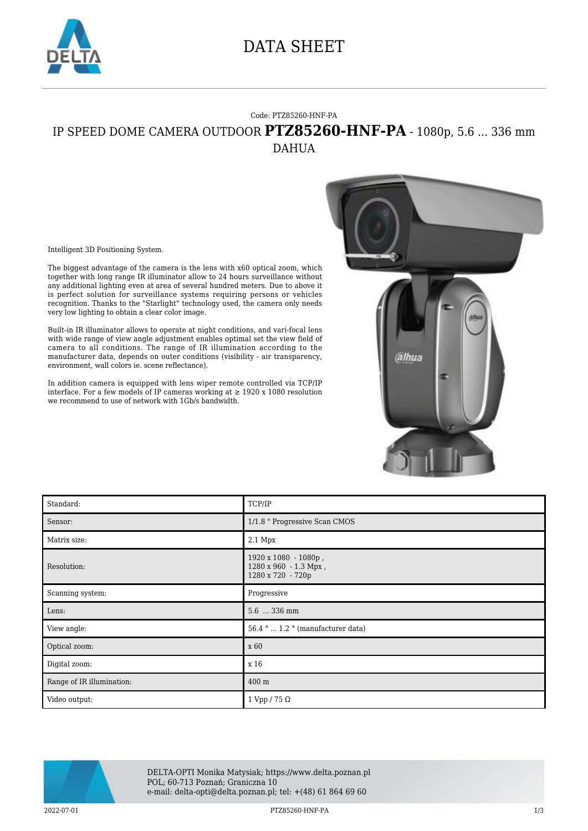

## DATA SHEET

## Code: PTZ85260-HNF-PA IP SPEED DOME CAMERA OUTDOOR **PTZ85260-HNF-PA** - 1080p, 5.6 ... 336 mm DAHUA

Intelligent 3D Positioning System.

The biggest advantage of the camera is the lens with x60 optical zoom, which together with long range IR illuminator allow to 24 hours surveillance without any additional lighting even at area of several hundred meters. Due to above it is perfect solution for surveillance systems requiring persons or vehicles recognition. Thanks to the "Starlight" technology used, the camera only needs very low lighting to obtain a clear color image.

Built-in IR illuminator allows to operate at night conditions, and vari-focal lens with wide range of view angle adjustment enables optimal set the view field of camera to all conditions. The range of IR illumination according to the manufacturer data, depends on outer conditions (visibility - air transparency, environment, wall colors ie. scene reflectance).

In addition camera is equipped with lens wiper remote controlled via TCP/IP interface. For a few models of IP cameras working at ≥ 1920 x 1080 resolution we recommend to use of network with 1Gb/s bandwidth.



| Standard:                 | TCP/IP                                                             |
|---------------------------|--------------------------------------------------------------------|
| Sensor:                   | 1/1.8 " Progressive Scan CMOS                                      |
| Matrix size:              | 2.1 Mpx                                                            |
| Resolution:               | 1920 x 1080 - 1080p,<br>1280 x 960 - 1.3 Mpx,<br>1280 x 720 - 720p |
| Scanning system:          | Progressive                                                        |
|                           |                                                                    |
| Lens:                     | 5.6  336 mm                                                        |
| View angle:               | 56.4 °  1.2 ° (manufacturer data)                                  |
| Optical zoom:             | x 60                                                               |
| Digital zoom:             | x 16                                                               |
| Range of IR illumination: | 400 m                                                              |



DELTA-OPTI Monika Matysiak; https://www.delta.poznan.pl POL; 60-713 Poznań; Graniczna 10 e-mail: delta-opti@delta.poznan.pl; tel: +(48) 61 864 69 60

2022-07-01 PTZ85260-HNF-PA 1/3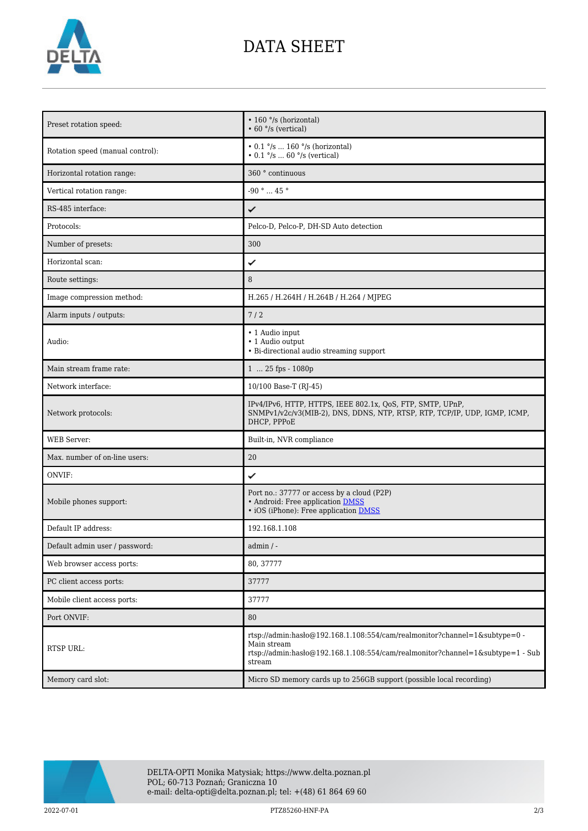

## DATA SHEET

| Preset rotation speed:           | • 160 °/s (horizontal)<br>$\cdot$ 60 $\degree$ /s (vertical)                                                                                                                          |
|----------------------------------|---------------------------------------------------------------------------------------------------------------------------------------------------------------------------------------|
| Rotation speed (manual control): | $\cdot$ 0.1 $\degree$ /s  160 $\degree$ /s (horizontal)<br>• $0.1 \degree$ /s  60 $\degree$ /s (vertical)                                                                             |
| Horizontal rotation range:       | 360 ° continuous                                                                                                                                                                      |
| Vertical rotation range:         | -90 ° $\ldots$ 45 °                                                                                                                                                                   |
| RS-485 interface:                | ✓                                                                                                                                                                                     |
| Protocols:                       | Pelco-D, Pelco-P, DH-SD Auto detection                                                                                                                                                |
| Number of presets:               | 300                                                                                                                                                                                   |
| Horizontal scan:                 | ✓                                                                                                                                                                                     |
| Route settings:                  | 8                                                                                                                                                                                     |
| Image compression method:        | H.265 / H.264H / H.264B / H.264 / MJPEG                                                                                                                                               |
| Alarm inputs / outputs:          | 7/2                                                                                                                                                                                   |
| Audio:                           | • 1 Audio input<br>• 1 Audio output<br>• Bi-directional audio streaming support                                                                                                       |
| Main stream frame rate:          | 1  25 fps - 1080p                                                                                                                                                                     |
| Network interface:               | 10/100 Base-T (RJ-45)                                                                                                                                                                 |
| Network protocols:               | IPv4/IPv6, HTTP, HTTPS, IEEE 802.1x, QoS, FTP, SMTP, UPnP,<br>SNMPv1/v2c/v3(MIB-2), DNS, DDNS, NTP, RTSP, RTP, TCP/IP, UDP, IGMP, ICMP,<br>DHCP, PPPoE                                |
| <b>WEB</b> Server:               | Built-in, NVR compliance                                                                                                                                                              |
| Max. number of on-line users:    | 20                                                                                                                                                                                    |
| ONVIF:                           | ✓                                                                                                                                                                                     |
| Mobile phones support:           | Port no.: 37777 or access by a cloud (P2P)<br>• Android: Free application DMSS<br>• iOS (iPhone): Free application DMSS                                                               |
| Default IP address:              | 192.168.1.108                                                                                                                                                                         |
| Default admin user / password:   | $admin / -$                                                                                                                                                                           |
| Web browser access ports:        | 80, 37777                                                                                                                                                                             |
| PC client access ports:          | 37777                                                                                                                                                                                 |
| Mobile client access ports:      | 37777                                                                                                                                                                                 |
| Port ONVIF:                      | 80                                                                                                                                                                                    |
| RTSP URL:                        | rtsp://admin:hasło@192.168.1.108:554/cam/realmonitor?channel=1&subtype=0 -<br>Main stream<br>rtsp://admin:hasło@192.168.1.108:554/cam/realmonitor?channel=1&subtype=1 - Sub<br>stream |
| Memory card slot:                | Micro SD memory cards up to 256GB support (possible local recording)                                                                                                                  |



2022-07-01 PTZ85260-HNF-PA 2/3